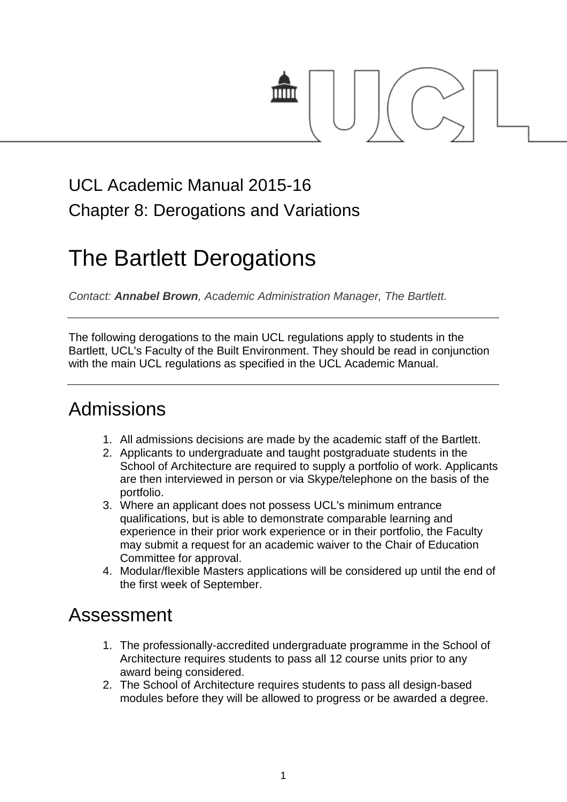

## UCL Academic Manual 2015-16 Chapter 8: Derogations and Variations

# The Bartlett Derogations

*Contact: Annabel Brown, Academic Administration Manager, The Bartlett.*

The following derogations to the main UCL regulations apply to students in the Bartlett, UCL's Faculty of the Built Environment. They should be read in conjunction with the main UCL regulations as specified in the UCL Academic Manual.

### Admissions

- 1. All admissions decisions are made by the academic staff of the Bartlett.
- 2. Applicants to undergraduate and taught postgraduate students in the School of Architecture are required to supply a portfolio of work. Applicants are then interviewed in person or via Skype/telephone on the basis of the portfolio.
- 3. Where an applicant does not possess UCL's minimum entrance qualifications, but is able to demonstrate comparable learning and experience in their prior work experience or in their portfolio, the Faculty may submit a request for an academic waiver to the Chair of Education Committee for approval.
- 4. Modular/flexible Masters applications will be considered up until the end of the first week of September.

### Assessment

- 1. The professionally-accredited undergraduate programme in the School of Architecture requires students to pass all 12 course units prior to any award being considered.
- 2. The School of Architecture requires students to pass all design-based modules before they will be allowed to progress or be awarded a degree.